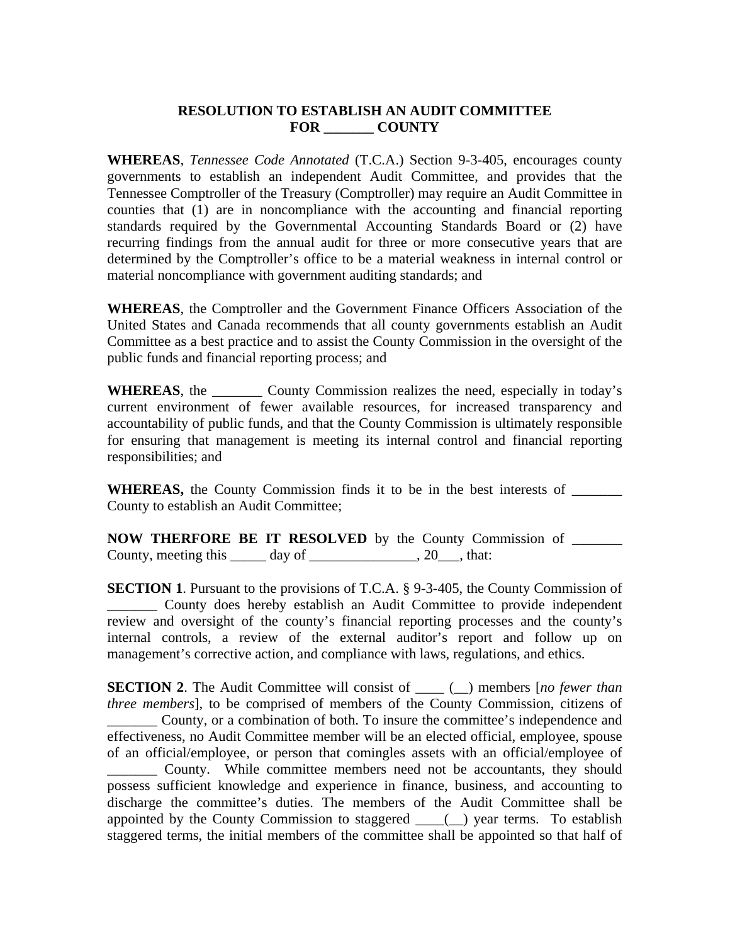## **RESOLUTION TO ESTABLISH AN AUDIT COMMITTEE FOR \_\_\_\_\_\_\_ COUNTY**

**WHEREAS**, *Tennessee Code Annotated* (T.C.A.) Section 9-3-405, encourages county governments to establish an independent Audit Committee, and provides that the Tennessee Comptroller of the Treasury (Comptroller) may require an Audit Committee in counties that (1) are in noncompliance with the accounting and financial reporting standards required by the Governmental Accounting Standards Board or (2) have recurring findings from the annual audit for three or more consecutive years that are determined by the Comptroller's office to be a material weakness in internal control or material noncompliance with government auditing standards; and

**WHEREAS**, the Comptroller and the Government Finance Officers Association of the United States and Canada recommends that all county governments establish an Audit Committee as a best practice and to assist the County Commission in the oversight of the public funds and financial reporting process; and

**WHEREAS**, the \_\_\_\_\_\_\_ County Commission realizes the need, especially in today's current environment of fewer available resources, for increased transparency and accountability of public funds, and that the County Commission is ultimately responsible for ensuring that management is meeting its internal control and financial reporting responsibilities; and

**WHEREAS,** the County Commission finds it to be in the best interests of \_\_\_\_\_\_\_ County to establish an Audit Committee;

**NOW THERFORE BE IT RESOLVED** by the County Commission of County, meeting this \_\_\_\_\_ day of \_\_\_\_\_\_\_\_\_\_\_\_\_, 20\_\_\_, that:

**SECTION 1.** Pursuant to the provisions of T.C.A. § 9-3-405, the County Commission of \_\_\_\_\_\_\_ County does hereby establish an Audit Committee to provide independent review and oversight of the county's financial reporting processes and the county's internal controls, a review of the external auditor's report and follow up on management's corrective action, and compliance with laws, regulations, and ethics.

**SECTION 2.** The Audit Committee will consist of  $\_\_\_\_$ ( $\_\_\$ ) members [*no fewer than three members*], to be comprised of members of the County Commission, citizens of \_\_\_\_\_\_\_ County, or a combination of both. To insure the committee's independence and effectiveness, no Audit Committee member will be an elected official, employee, spouse of an official/employee, or person that comingles assets with an official/employee of \_\_\_\_\_\_\_ County. While committee members need not be accountants, they should possess sufficient knowledge and experience in finance, business, and accounting to discharge the committee's duties. The members of the Audit Committee shall be appointed by the County Commission to staggered  $\_\_$ ( $\_\)$  year terms. To establish staggered terms, the initial members of the committee shall be appointed so that half of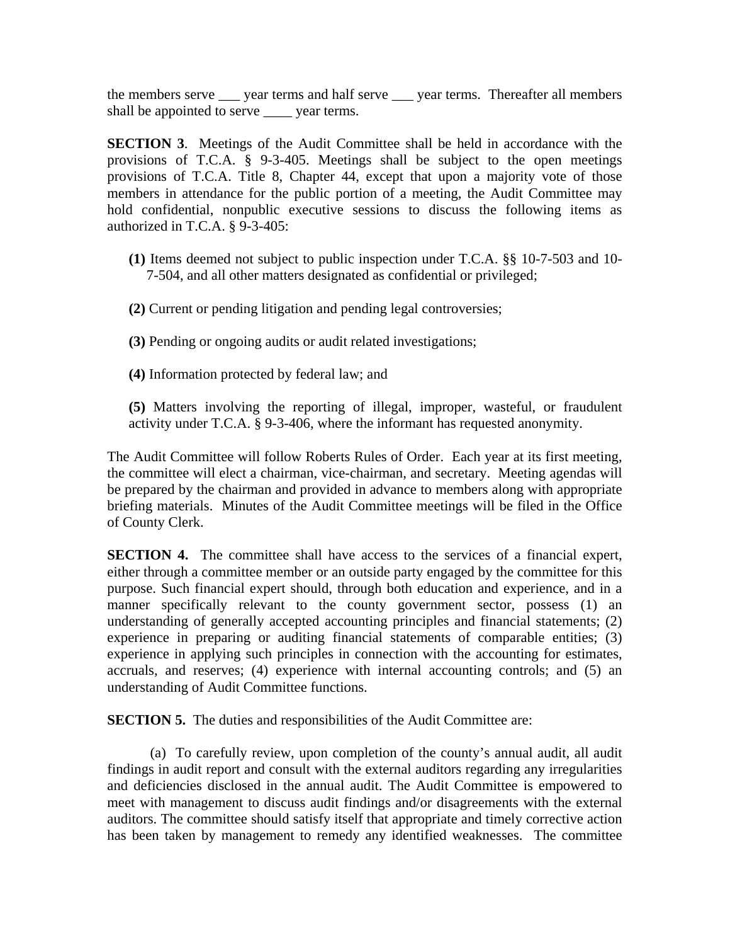the members serve \_\_\_ year terms and half serve \_\_\_ year terms. Thereafter all members shall be appointed to serve \_\_\_\_ year terms.

**SECTION 3.** Meetings of the Audit Committee shall be held in accordance with the provisions of T.C.A. § 9-3-405. Meetings shall be subject to the open meetings provisions of T.C.A. Title 8, Chapter 44, except that upon a majority vote of those members in attendance for the public portion of a meeting, the Audit Committee may hold confidential, nonpublic executive sessions to discuss the following items as authorized in T.C.A. § 9-3-405:

- **(1)** Items deemed not subject to public inspection under T.C.A. §§ 10-7-503 and 10- 7-504, and all other matters designated as confidential or privileged;
- **(2)** Current or pending litigation and pending legal controversies;
- **(3)** Pending or ongoing audits or audit related investigations;
- **(4)** Information protected by federal law; and
- **(5)** Matters involving the reporting of illegal, improper, wasteful, or fraudulent activity under T.C.A. § 9-3-406, where the informant has requested anonymity.

The Audit Committee will follow Roberts Rules of Order. Each year at its first meeting, the committee will elect a chairman, vice-chairman, and secretary. Meeting agendas will be prepared by the chairman and provided in advance to members along with appropriate briefing materials. Minutes of the Audit Committee meetings will be filed in the Office of County Clerk.

**SECTION 4.** The committee shall have access to the services of a financial expert, either through a committee member or an outside party engaged by the committee for this purpose. Such financial expert should, through both education and experience, and in a manner specifically relevant to the county government sector, possess (1) an understanding of generally accepted accounting principles and financial statements; (2) experience in preparing or auditing financial statements of comparable entities; (3) experience in applying such principles in connection with the accounting for estimates, accruals, and reserves; (4) experience with internal accounting controls; and (5) an understanding of Audit Committee functions.

**SECTION 5.** The duties and responsibilities of the Audit Committee are:

(a) To carefully review, upon completion of the county's annual audit, all audit findings in audit report and consult with the external auditors regarding any irregularities and deficiencies disclosed in the annual audit. The Audit Committee is empowered to meet with management to discuss audit findings and/or disagreements with the external auditors. The committee should satisfy itself that appropriate and timely corrective action has been taken by management to remedy any identified weaknesses. The committee